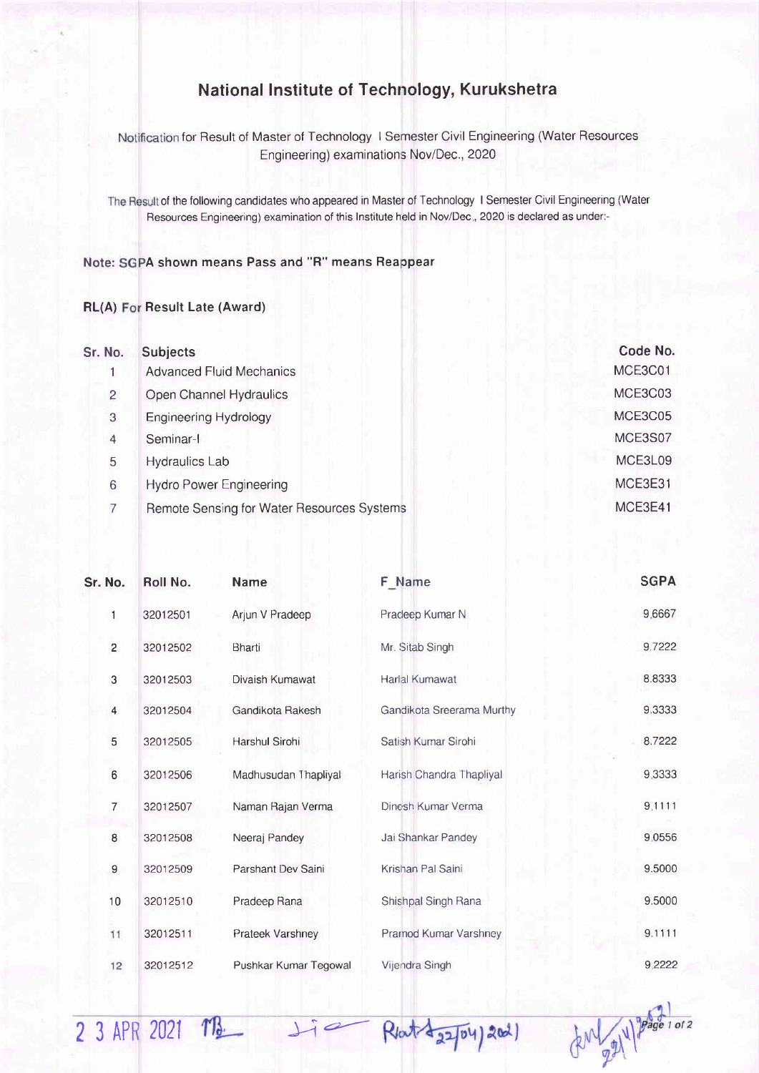## National lnstitute of Technology, Kurukshetra

Notification for Result of Master of Technology I Semester Civil Engineering (Water Resources Engineering) examinations Nov/Dec., 2020

The Result of the following candidates who appeared in Master of Technology I Semester Civil Engineering (Water Resources Engineering) examination of this Institute held in Nov/Dec., 2020 is declared as under:-

## Note: SGPA shown means Pass and "R" means Reappear

## RL(A) For Result Late (Award)

2 3 APR 2021 TB

| Sr. No.        | <b>Subjects</b>                            | Code No. |
|----------------|--------------------------------------------|----------|
|                | <b>Advanced Fluid Mechanics</b>            | MCE3C01  |
| $\overline{2}$ | Open Channel Hydraulics                    | MCE3C03  |
| 3              | <b>Engineering Hydrology</b>               | MCE3C05  |
| 4              | Seminar-I                                  | MCE3S07  |
| 5              | Hydraulics Lab                             | MCE3L09  |
| 6              | <b>Hydro Power Engineering</b>             | MCE3E31  |
|                | Remote Sensing for Water Resources Systems | MCE3E41  |

| Sr. No.        | Roll No. | <b>Name</b>           | F Name                    | <b>SGPA</b> |
|----------------|----------|-----------------------|---------------------------|-------------|
| 1              | 32012501 | Arjun V Pradeep       | Pradeep Kumar N           | 9.6667      |
| $\overline{c}$ | 32012502 | Bharti                | Mr. Sitab Singh           | 9.7222      |
| 3              | 32012503 | Divaish Kumawat       | Harlal Kumawat            | 8.8333      |
| 4              | 32012504 | Gandikota Rakesh      | Gandikota Sreerama Murthy | 9.3333      |
| 5              | 32012505 | Harshul Sirohi        | Satish Kumar Sirohi       | 8.7222      |
| 6              | 32012506 | Madhusudan Thapliyal  | Harish Chandra Thapliyal  | 9.3333      |
| $\overline{7}$ | 32012507 | Naman Rajan Verma     | Dinesh Kumar Verma        | 9.1111      |
| 8              | 32012508 | Neeraj Pandey         | Jai Shankar Pandey        | 9.0556      |
| 9              | 32012509 | Parshant Dev Saini    | Krishan Pal Saini         | 9.5000      |
| 10             | 32012510 | Pradeep Rana          | Shishpal Singh Rana       | 9.5000      |
| 11             | 32012511 | Prateek Varshney      | Pramod Kumar Varshney     | 9.1111      |
| 12             | 32012512 | Pushkar Kumar Tegowal | Vijendra Singh            | 9.2222      |

 $Li$ 

Rlat 22/04) 2021

 $40\frac{1}{2}$